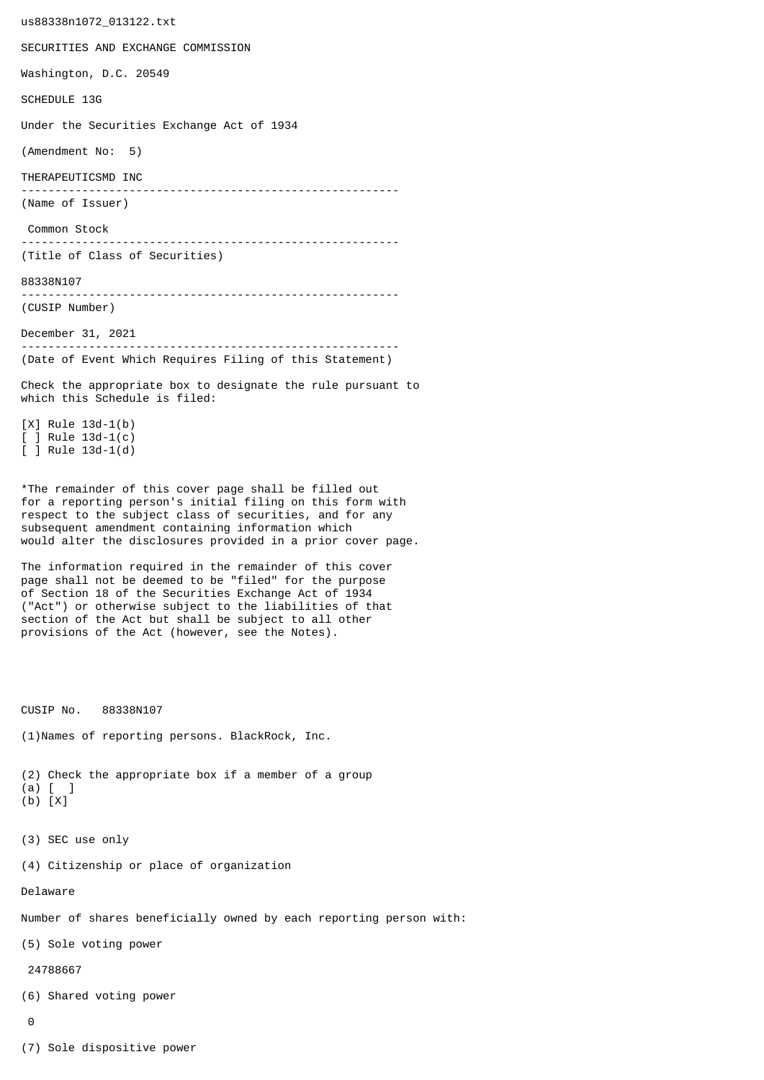us88338n1072\_013122.txt SECURITIES AND EXCHANGE COMMISSION Washington, D.C. 20549 SCHEDULE 13G Under the Securities Exchange Act of 1934 (Amendment No: 5) THERAPEUTICSMD INC -------------------------------------------------------- (Name of Issuer) Common Stock -------------------------------------------------------- (Title of Class of Securities) 88338N107 -------------------------------------------------------- (CUSIP Number) December 31, 2021 -------------------------------------------------------- (Date of Event Which Requires Filing of this Statement) Check the appropriate box to designate the rule pursuant to which this Schedule is filed: [X] Rule 13d-1(b) [ ] Rule 13d-1(c) [ ] Rule 13d-1(d) \*The remainder of this cover page shall be filled out for a reporting person's initial filing on this form with respect to the subject class of securities, and for any subsequent amendment containing information which would alter the disclosures provided in a prior cover page. The information required in the remainder of this cover page shall not be deemed to be "filed" for the purpose of Section 18 of the Securities Exchange Act of 1934 ("Act") or otherwise subject to the liabilities of that section of the Act but shall be subject to all other provisions of the Act (however, see the Notes). CUSIP No. 88338N107 (1)Names of reporting persons. BlackRock, Inc. (2) Check the appropriate box if a member of a group (a) [ ] (b) [X] (3) SEC use only (4) Citizenship or place of organization Delaware Number of shares beneficially owned by each reporting person with: (5) Sole voting power 24788667 (6) Shared voting power  $\Omega$ 

(7) Sole dispositive power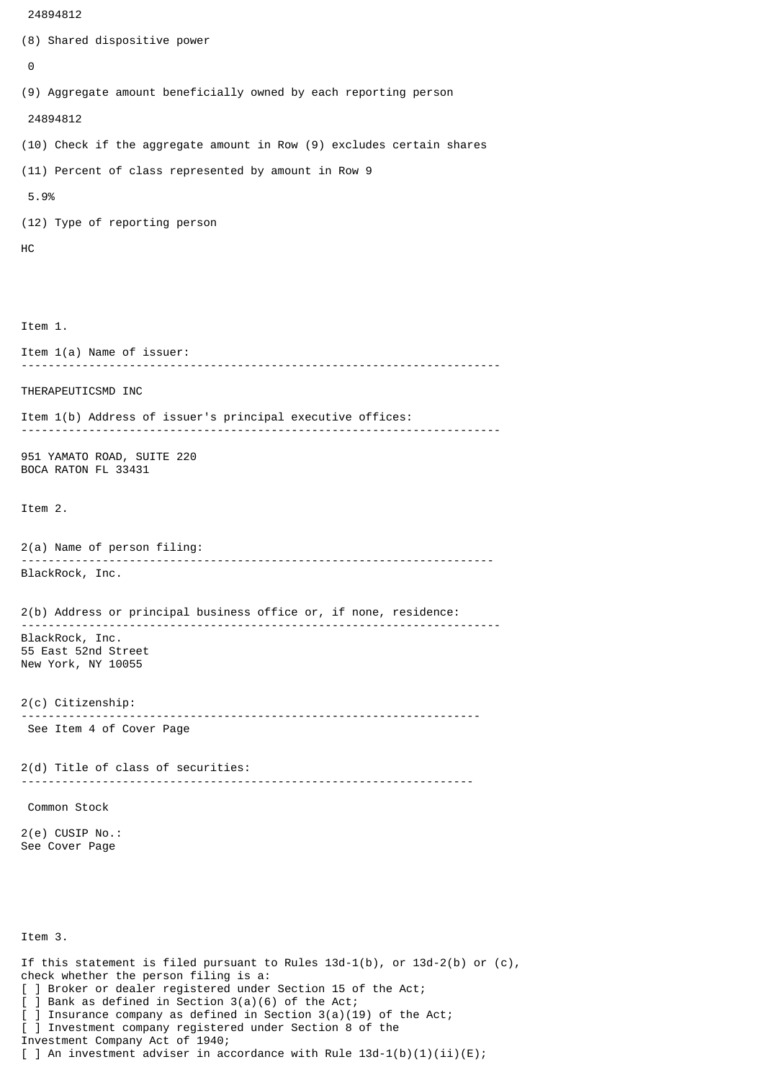```
 24894812
```

```
(8) Shared dispositive power
 \boldsymbol{\Theta}(9) Aggregate amount beneficially owned by each reporting person
  24894812
(10) Check if the aggregate amount in Row (9) excludes certain shares
(11) Percent of class represented by amount in Row 9
 5.9%
(12) Type of reporting person
HC
Item 1.
Item 1(a) Name of issuer:
           -----------------------------------------------------------------------
THERAPEUTICSMD INC
Item 1(b) Address of issuer's principal executive offices:
-----------------------------------------------------------------------
951 YAMATO ROAD, SUITE 220
BOCA RATON FL 33431
Item 2.
2(a) Name of person filing:
               ----------------------------------------------------------------------
BlackRock, Inc.
2(b) Address or principal business office or, if none, residence:
 -----------------------------------------------------------------------
BlackRock, Inc.
55 East 52nd Street
New York, NY 10055
2(c) Citizenship:
                            --------------------------------------------------------------------
 See Item 4 of Cover Page
2(d) Title of class of securities:
                                      -------------------------------------------------------------------
 Common Stock
2(e) CUSIP No.:
See Cover Page
Item 3.
If this statement is filed pursuant to Rules 13d-1(b), or 13d-2(b) or (c),
check whether the person filing is a:
[ ] Broker or dealer registered under Section 15 of the Act;
[ ] Bank as defined in Section 3(a)(6) of the Act;
  ] Insurance company as defined in Section 3(a)(19) of the Act;
[ ] Investment company registered under Section 8 of the
Investment Company Act of 1940;
[ ] An investment adviser in accordance with Rule 13d-1(b)(1)(ii)(E);
```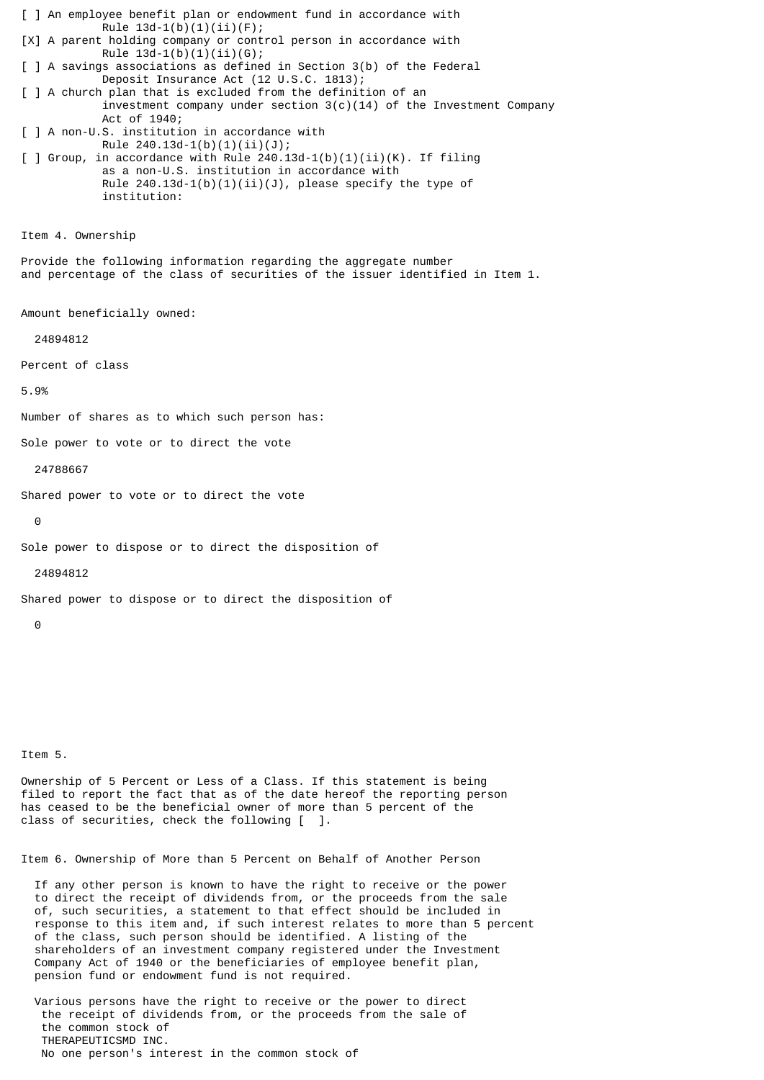[ ] An employee benefit plan or endowment fund in accordance with Rule  $13d-1(b)(1)(ii)(F);$ [X] A parent holding company or control person in accordance with Rule  $13d-1(b)(1)(ii)(G);$ [ ] A savings associations as defined in Section 3(b) of the Federal Deposit Insurance Act (12 U.S.C. 1813); [ ] A church plan that is excluded from the definition of an investment company under section  $3(c)(14)$  of the Investment Company Act of 1940; [ ] A non-U.S. institution in accordance with Rule 240.13d-1(b)(1)(ii)(J);  $\lceil$  ] Group, in accordance with Rule 240.13d-1(b)(1)(ii)(K). If filing as a non-U.S. institution in accordance with Rule  $240.13d-1(b)(1)(ii)(J)$ , please specify the type of institution: Item 4. Ownership Provide the following information regarding the aggregate number and percentage of the class of securities of the issuer identified in Item 1. Amount beneficially owned: 24894812 Percent of class 5.9% Number of shares as to which such person has: Sole power to vote or to direct the vote 24788667 Shared power to vote or to direct the vote  $\Theta$ Sole power to dispose or to direct the disposition of 24894812

Shared power to dispose or to direct the disposition of

 $\Omega$ 

Item 5.

Ownership of 5 Percent or Less of a Class. If this statement is being filed to report the fact that as of the date hereof the reporting person has ceased to be the beneficial owner of more than 5 percent of the class of securities, check the following [ ].

Item 6. Ownership of More than 5 Percent on Behalf of Another Person

 If any other person is known to have the right to receive or the power to direct the receipt of dividends from, or the proceeds from the sale of, such securities, a statement to that effect should be included in response to this item and, if such interest relates to more than 5 percent of the class, such person should be identified. A listing of the shareholders of an investment company registered under the Investment Company Act of 1940 or the beneficiaries of employee benefit plan, pension fund or endowment fund is not required.

 Various persons have the right to receive or the power to direct the receipt of dividends from, or the proceeds from the sale of the common stock of THERAPEUTICSMD INC. No one person's interest in the common stock of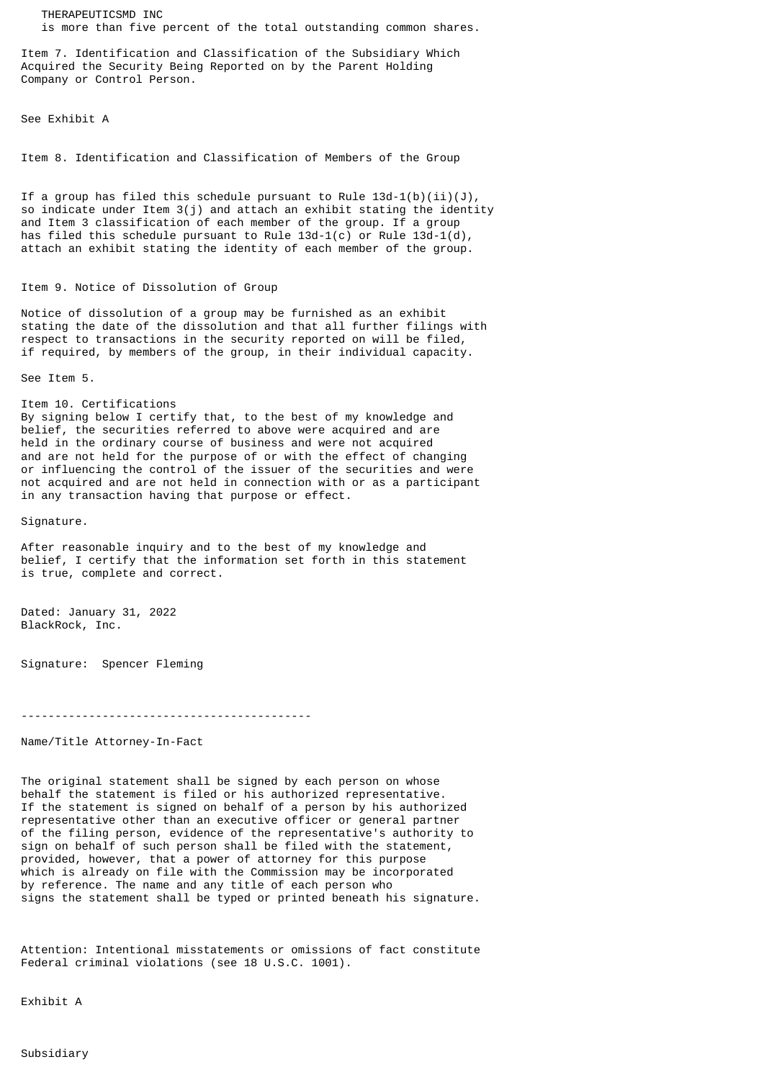THERAPEUTICSMD INC is more than five percent of the total outstanding common shares.

Item 7. Identification and Classification of the Subsidiary Which Acquired the Security Being Reported on by the Parent Holding Company or Control Person.

See Exhibit A

Item 8. Identification and Classification of Members of the Group

If a group has filed this schedule pursuant to Rule  $13d-1(b)(ii)(J)$ , so indicate under Item 3(j) and attach an exhibit stating the identity and Item 3 classification of each member of the group. If a group has filed this schedule pursuant to Rule  $13d-1(c)$  or Rule  $13d-1(d)$ , attach an exhibit stating the identity of each member of the group.

## Item 9. Notice of Dissolution of Group

Notice of dissolution of a group may be furnished as an exhibit stating the date of the dissolution and that all further filings with respect to transactions in the security reported on will be filed, if required, by members of the group, in their individual capacity.

See Item 5.

Item 10. Certifications By signing below I certify that, to the best of my knowledge and belief, the securities referred to above were acquired and are held in the ordinary course of business and were not acquired and are not held for the purpose of or with the effect of changing or influencing the control of the issuer of the securities and were not acquired and are not held in connection with or as a participant

in any transaction having that purpose or effect.

Signature.

After reasonable inquiry and to the best of my knowledge and belief, I certify that the information set forth in this statement is true, complete and correct.

Dated: January 31, 2022 BlackRock, Inc.

Signature: Spencer Fleming

-------------------------------------------

Name/Title Attorney-In-Fact

The original statement shall be signed by each person on whose behalf the statement is filed or his authorized representative. If the statement is signed on behalf of a person by his authorized representative other than an executive officer or general partner of the filing person, evidence of the representative's authority to sign on behalf of such person shall be filed with the statement, provided, however, that a power of attorney for this purpose which is already on file with the Commission may be incorporated by reference. The name and any title of each person who signs the statement shall be typed or printed beneath his signature.

Attention: Intentional misstatements or omissions of fact constitute Federal criminal violations (see 18 U.S.C. 1001).

Exhibit A